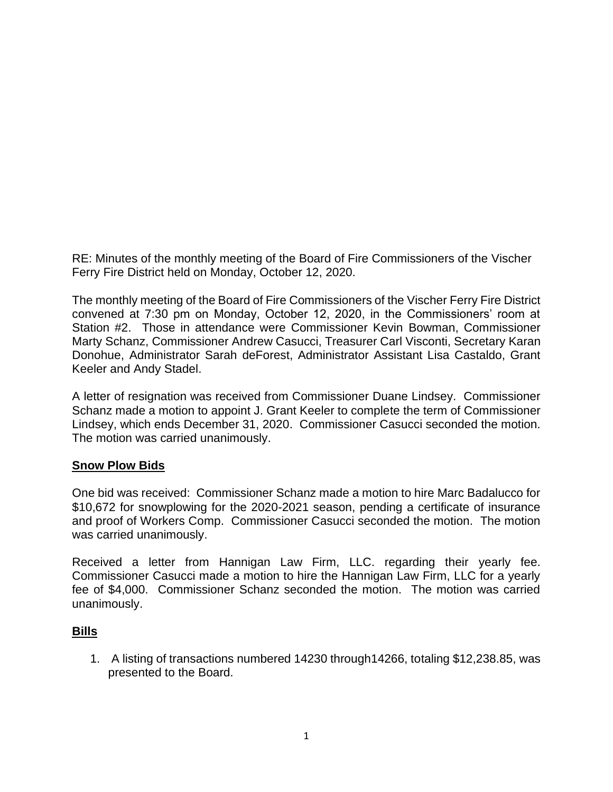RE: Minutes of the monthly meeting of the Board of Fire Commissioners of the Vischer Ferry Fire District held on Monday, October 12, 2020.

The monthly meeting of the Board of Fire Commissioners of the Vischer Ferry Fire District convened at 7:30 pm on Monday, October 12, 2020, in the Commissioners' room at Station #2. Those in attendance were Commissioner Kevin Bowman, Commissioner Marty Schanz, Commissioner Andrew Casucci, Treasurer Carl Visconti, Secretary Karan Donohue, Administrator Sarah deForest, Administrator Assistant Lisa Castaldo, Grant Keeler and Andy Stadel.

A letter of resignation was received from Commissioner Duane Lindsey. Commissioner Schanz made a motion to appoint J. Grant Keeler to complete the term of Commissioner Lindsey, which ends December 31, 2020. Commissioner Casucci seconded the motion. The motion was carried unanimously.

#### **Snow Plow Bids**

One bid was received: Commissioner Schanz made a motion to hire Marc Badalucco for \$10,672 for snowplowing for the 2020-2021 season, pending a certificate of insurance and proof of Workers Comp. Commissioner Casucci seconded the motion. The motion was carried unanimously.

Received a letter from Hannigan Law Firm, LLC. regarding their yearly fee. Commissioner Casucci made a motion to hire the Hannigan Law Firm, LLC for a yearly fee of \$4,000. Commissioner Schanz seconded the motion. The motion was carried unanimously.

#### **Bills**

1. A listing of transactions numbered 14230 through14266, totaling \$12,238.85, was presented to the Board.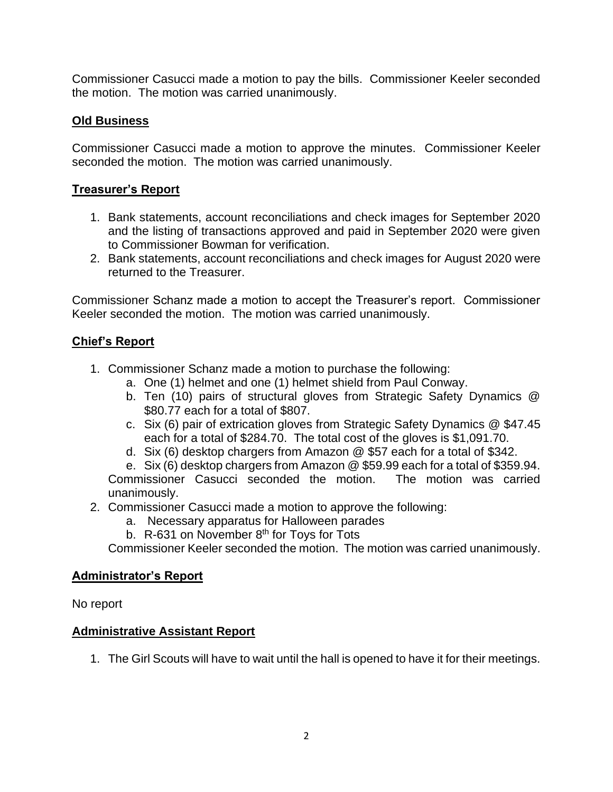Commissioner Casucci made a motion to pay the bills. Commissioner Keeler seconded the motion. The motion was carried unanimously.

## **Old Business**

Commissioner Casucci made a motion to approve the minutes. Commissioner Keeler seconded the motion. The motion was carried unanimously.

# **Treasurer's Report**

- 1. Bank statements, account reconciliations and check images for September 2020 and the listing of transactions approved and paid in September 2020 were given to Commissioner Bowman for verification.
- 2. Bank statements, account reconciliations and check images for August 2020 were returned to the Treasurer.

Commissioner Schanz made a motion to accept the Treasurer's report. Commissioner Keeler seconded the motion. The motion was carried unanimously.

## **Chief's Report**

- 1. Commissioner Schanz made a motion to purchase the following:
	- a. One (1) helmet and one (1) helmet shield from Paul Conway.
	- b. Ten (10) pairs of structural gloves from Strategic Safety Dynamics @ \$80.77 each for a total of \$807.
	- c. Six (6) pair of extrication gloves from Strategic Safety Dynamics @ \$47.45 each for a total of \$284.70. The total cost of the gloves is \$1,091.70.
	- d. Six (6) desktop chargers from Amazon @ \$57 each for a total of \$342.
	- e. Six (6) desktop chargers from Amazon @ \$59.99 each for a total of \$359.94.

Commissioner Casucci seconded the motion. The motion was carried unanimously.

- 2. Commissioner Casucci made a motion to approve the following:
	- a. Necessary apparatus for Halloween parades
	- b. R-631 on November  $8<sup>th</sup>$  for Toys for Tots

Commissioner Keeler seconded the motion. The motion was carried unanimously.

#### **Administrator's Report**

No report

## **Administrative Assistant Report**

1. The Girl Scouts will have to wait until the hall is opened to have it for their meetings.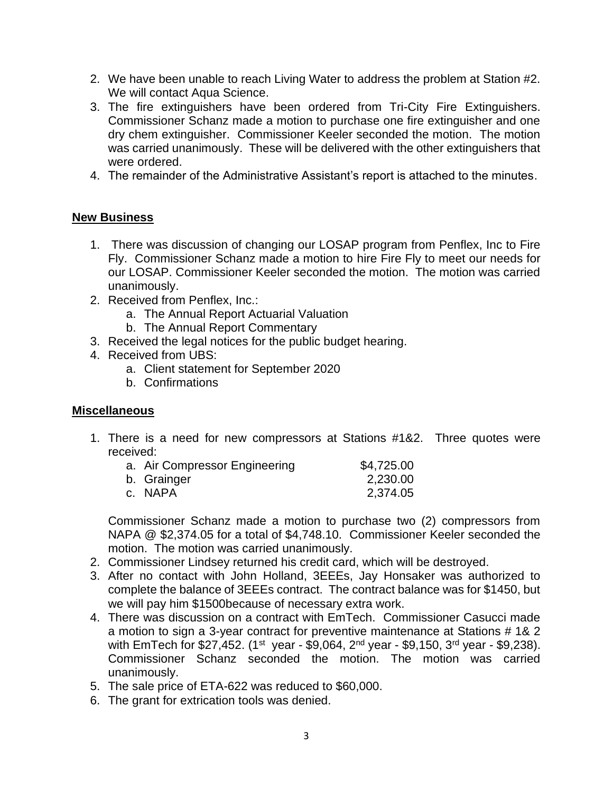- 2. We have been unable to reach Living Water to address the problem at Station #2. We will contact Aqua Science.
- 3. The fire extinguishers have been ordered from Tri-City Fire Extinguishers. Commissioner Schanz made a motion to purchase one fire extinguisher and one dry chem extinguisher. Commissioner Keeler seconded the motion. The motion was carried unanimously. These will be delivered with the other extinguishers that were ordered.
- 4. The remainder of the Administrative Assistant's report is attached to the minutes.

#### **New Business**

- 1. There was discussion of changing our LOSAP program from Penflex, Inc to Fire Fly. Commissioner Schanz made a motion to hire Fire Fly to meet our needs for our LOSAP. Commissioner Keeler seconded the motion. The motion was carried unanimously.
- 2. Received from Penflex, Inc.:
	- a. The Annual Report Actuarial Valuation
	- b. The Annual Report Commentary
- 3. Received the legal notices for the public budget hearing.
- 4. Received from UBS:
	- a. Client statement for September 2020
	- b. Confirmations

#### **Miscellaneous**

1. There is a need for new compressors at Stations #1&2. Three quotes were received:

| a. Air Compressor Engineering | \$4,725.00 |
|-------------------------------|------------|
| b. Grainger                   | 2,230.00   |
| c. NAPA                       | 2,374.05   |

Commissioner Schanz made a motion to purchase two (2) compressors from NAPA @ \$2,374.05 for a total of \$4,748.10. Commissioner Keeler seconded the motion. The motion was carried unanimously.

- 2. Commissioner Lindsey returned his credit card, which will be destroyed.
- 3. After no contact with John Holland, 3EEEs, Jay Honsaker was authorized to complete the balance of 3EEEs contract. The contract balance was for \$1450, but we will pay him \$1500because of necessary extra work.
- 4. There was discussion on a contract with EmTech. Commissioner Casucci made a motion to sign a 3-year contract for preventive maintenance at Stations # 1& 2 with EmTech for \$27,452. (1<sup>st</sup> year - \$9,064, 2<sup>nd</sup> year - \$9,150, 3<sup>rd</sup> year - \$9,238). Commissioner Schanz seconded the motion. The motion was carried unanimously.
- 5. The sale price of ETA-622 was reduced to \$60,000.
- 6. The grant for extrication tools was denied.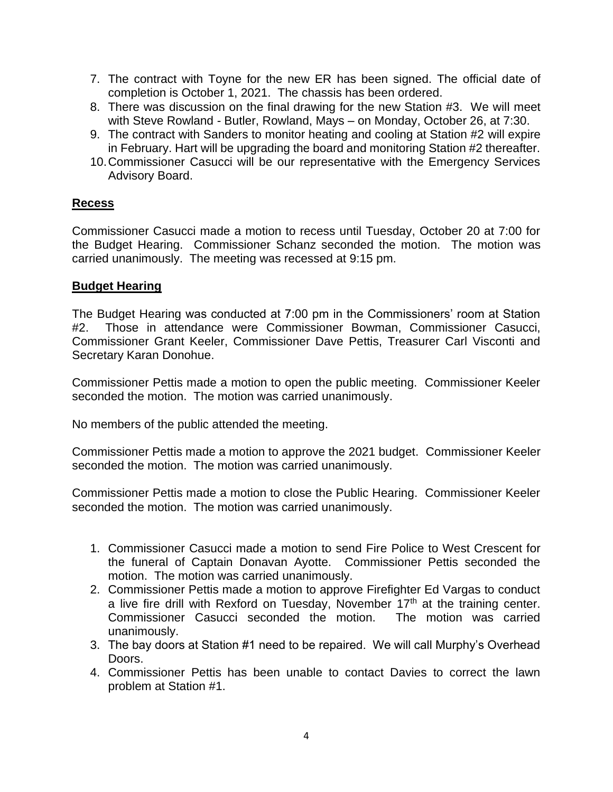- 7. The contract with Toyne for the new ER has been signed. The official date of completion is October 1, 2021. The chassis has been ordered.
- 8. There was discussion on the final drawing for the new Station #3. We will meet with Steve Rowland - Butler, Rowland, Mays – on Monday, October 26, at 7:30.
- 9. The contract with Sanders to monitor heating and cooling at Station #2 will expire in February. Hart will be upgrading the board and monitoring Station #2 thereafter.
- 10.Commissioner Casucci will be our representative with the Emergency Services Advisory Board.

### **Recess**

Commissioner Casucci made a motion to recess until Tuesday, October 20 at 7:00 for the Budget Hearing. Commissioner Schanz seconded the motion. The motion was carried unanimously. The meeting was recessed at 9:15 pm.

#### **Budget Hearing**

The Budget Hearing was conducted at 7:00 pm in the Commissioners' room at Station #2. Those in attendance were Commissioner Bowman, Commissioner Casucci, Commissioner Grant Keeler, Commissioner Dave Pettis, Treasurer Carl Visconti and Secretary Karan Donohue.

Commissioner Pettis made a motion to open the public meeting. Commissioner Keeler seconded the motion. The motion was carried unanimously.

No members of the public attended the meeting.

Commissioner Pettis made a motion to approve the 2021 budget. Commissioner Keeler seconded the motion. The motion was carried unanimously.

Commissioner Pettis made a motion to close the Public Hearing. Commissioner Keeler seconded the motion. The motion was carried unanimously.

- 1. Commissioner Casucci made a motion to send Fire Police to West Crescent for the funeral of Captain Donavan Ayotte. Commissioner Pettis seconded the motion. The motion was carried unanimously.
- 2. Commissioner Pettis made a motion to approve Firefighter Ed Vargas to conduct a live fire drill with Rexford on Tuesday, November  $17<sup>th</sup>$  at the training center. Commissioner Casucci seconded the motion. The motion was carried unanimously.
- 3. The bay doors at Station #1 need to be repaired. We will call Murphy's Overhead Doors.
- 4. Commissioner Pettis has been unable to contact Davies to correct the lawn problem at Station #1.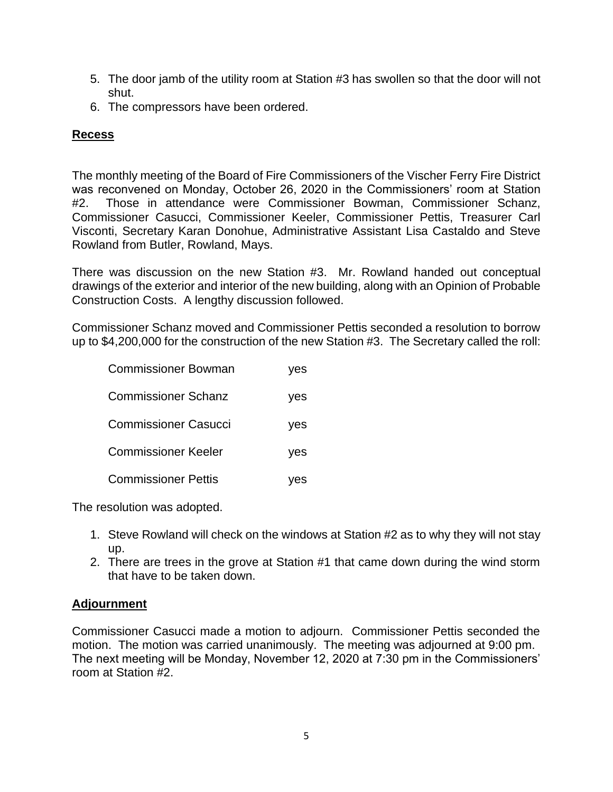- 5. The door jamb of the utility room at Station #3 has swollen so that the door will not shut.
- 6. The compressors have been ordered.

# **Recess**

The monthly meeting of the Board of Fire Commissioners of the Vischer Ferry Fire District was reconvened on Monday, October 26, 2020 in the Commissioners' room at Station #2. Those in attendance were Commissioner Bowman, Commissioner Schanz, Commissioner Casucci, Commissioner Keeler, Commissioner Pettis, Treasurer Carl Visconti, Secretary Karan Donohue, Administrative Assistant Lisa Castaldo and Steve Rowland from Butler, Rowland, Mays.

There was discussion on the new Station #3. Mr. Rowland handed out conceptual drawings of the exterior and interior of the new building, along with an Opinion of Probable Construction Costs. A lengthy discussion followed.

Commissioner Schanz moved and Commissioner Pettis seconded a resolution to borrow up to \$4,200,000 for the construction of the new Station #3. The Secretary called the roll:

| <b>Commissioner Bowman</b>  | yes |
|-----------------------------|-----|
| <b>Commissioner Schanz</b>  | yes |
| <b>Commissioner Casucci</b> | yes |
| <b>Commissioner Keeler</b>  | yes |
| <b>Commissioner Pettis</b>  | yes |

The resolution was adopted.

- 1. Steve Rowland will check on the windows at Station #2 as to why they will not stay up.
- 2. There are trees in the grove at Station #1 that came down during the wind storm that have to be taken down.

## **Adjournment**

Commissioner Casucci made a motion to adjourn. Commissioner Pettis seconded the motion. The motion was carried unanimously. The meeting was adjourned at 9:00 pm. The next meeting will be Monday, November 12, 2020 at 7:30 pm in the Commissioners' room at Station #2.